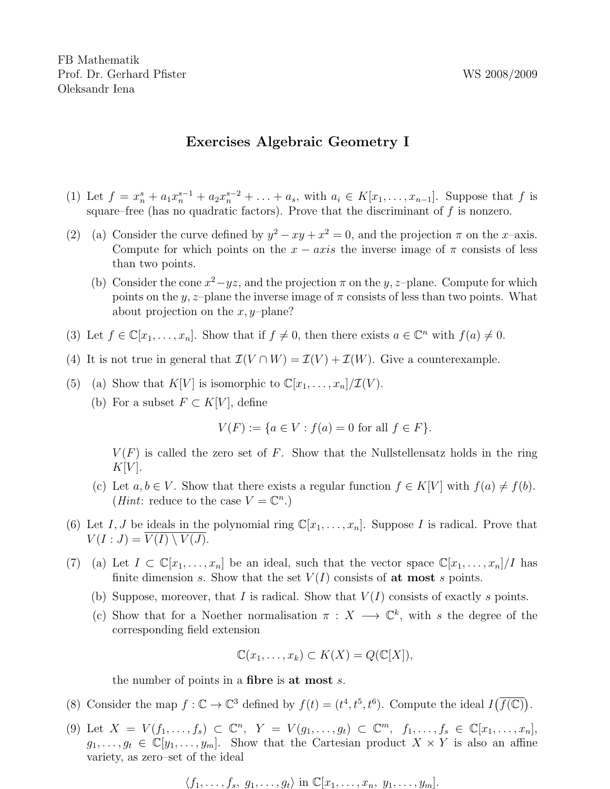FB Mathematik Prof. Dr. Gerhard Pfister WS 2008/2009 Oleksandr Iena

## Exercises Algebraic Geometry I

- (1) Let  $f = x_n^s + a_1 x_n^{s-1} + a_2 x_n^{s-2} + \ldots + a_s$ , with  $a_i \in K[x_1, \ldots, x_{n-1}]$ . Suppose that f is square–free (has no quadratic factors). Prove that the discriminant of  $f$  is nonzero.
- (2) (a) Consider the curve defined by  $y^2 xy + x^2 = 0$ , and the projection  $\pi$  on the x-axis. Compute for which points on the  $x - axis$  the inverse image of  $\pi$  consists of less than two points.
	- (b) Consider the cone  $x^2 yz$ , and the projection  $\pi$  on the y, z-plane. Compute for which points on the y, z–plane the inverse image of  $\pi$  consists of less than two points. What about projection on the  $x, y$ -plane?
- (3) Let  $f \in \mathbb{C}[x_1,\ldots,x_n]$ . Show that if  $f \neq 0$ , then there exists  $a \in \mathbb{C}^n$  with  $f(a) \neq 0$ .
- (4) It is not true in general that  $\mathcal{I}(V \cap W) = \mathcal{I}(V) + \mathcal{I}(W)$ . Give a counterexample.
- (5) (a) Show that  $K[V]$  is isomorphic to  $\mathbb{C}[x_1,\ldots,x_n]/\mathcal{I}(V)$ .
	- (b) For a subset  $F \subset K[V]$ , define

$$
V(F) := \{ a \in V : f(a) = 0 \text{ for all } f \in F \}.
$$

 $V(F)$  is called the zero set of F. Show that the Nullstellensatz holds in the ring  $K[V]$ .

- (c) Let  $a, b \in V$ . Show that there exists a regular function  $f \in K[V]$  with  $f(a) \neq f(b)$ . (*Hint*: reduce to the case  $V = \mathbb{C}^n$ .)
- (6) Let I, J be ideals in the polynomial ring  $\mathbb{C}[x_1, \ldots, x_n]$ . Suppose I is radical. Prove that  $V(I:J) = V(I) \setminus V(J).$
- (7) (a) Let  $I \subset \mathbb{C}[x_1,\ldots,x_n]$  be an ideal, such that the vector space  $\mathbb{C}[x_1,\ldots,x_n]/I$  has finite dimension s. Show that the set  $V(I)$  consists of at most s points.
	- (b) Suppose, moreover, that I is radical. Show that  $V(I)$  consists of exactly s points.
	- (c) Show that for a Noether normalisation  $\pi : X \longrightarrow \mathbb{C}^k$ , with s the degree of the corresponding field extension

$$
\mathbb{C}(x_1,\ldots,x_k)\subset K(X)=Q(\mathbb{C}[X]),
$$

the number of points in a fibre is at most s.

- (8) Consider the map  $f: \mathbb{C} \to \mathbb{C}^3$  defined by  $f(t) = (t^4, t^5, t^6)$ . Compute the ideal  $I(\overline{f(\mathbb{C})})$ .
- (9) Let  $X = V(f_1, ..., f_s) \subset \mathbb{C}^n$ ,  $Y = V(g_1, ..., g_t) \subset \mathbb{C}^m$ ,  $f_1, ..., f_s \in \mathbb{C}[x_1, ..., x_n]$ ,  $g_1, \ldots, g_t \in \mathbb{C}[y_1, \ldots, y_m]$ . Show that the Cartesian product  $X \times Y$  is also an affine variety, as zero–set of the ideal

$$
\langle f_1,\ldots,f_s,\ g_1,\ldots,g_t\rangle \text{ in }\mathbb{C}[x_1,\ldots,x_n,\ y_1,\ldots,y_m].
$$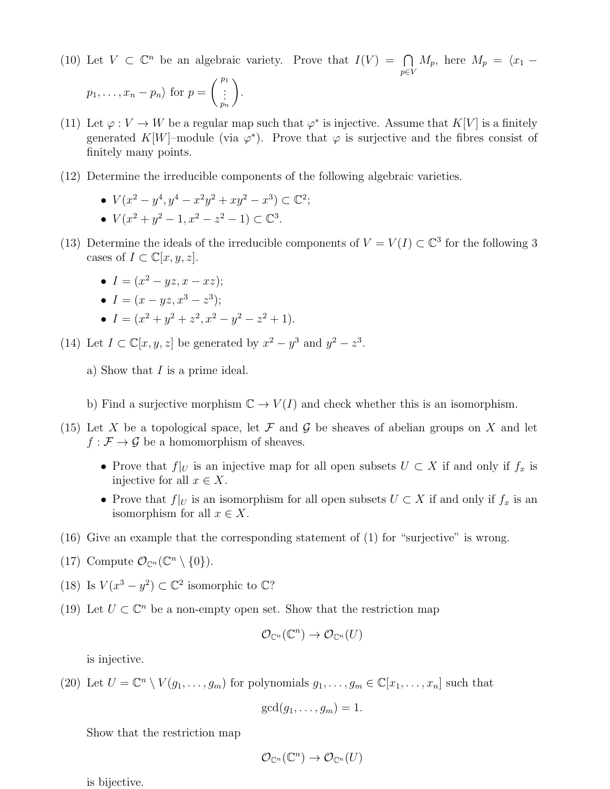(10) Let  $V \subset \mathbb{C}^n$  be an algebraic variety. Prove that  $I(V) = \bigcap$ p∈V  $M_p$ , here  $M_p = \langle x_1 -$ 

$$
p_1, \ldots, x_n - p_n
$$
 for  $p = \begin{pmatrix} p_1 \\ \vdots \\ p_n \end{pmatrix}$ .

- (11) Let  $\varphi: V \to W$  be a regular map such that  $\varphi^*$  is injective. Assume that  $K[V]$  is a finitely generated K[W]–module (via  $\varphi^*$ ). Prove that  $\varphi$  is surjective and the fibres consist of finitely many points.
- (12) Determine the irreducible components of the following algebraic varieties.
	- $V(x^2 y^4, y^4 x^2y^2 + xy^2 x^3) \subset \mathbb{C}^2;$ •  $V(x^2 + y^2 - 1, x^2 - z^2 - 1) \subset \mathbb{C}^3$ .
- (13) Determine the ideals of the irreducible components of  $V = V(I) \subset \mathbb{C}^3$  for the following 3 cases of  $I \subset \mathbb{C}[x, y, z]$ .
	- $I = (x^2 yz, x xz);$
	- $I = (x yz, x^3 z^3);$
	- $I = (x^2 + y^2 + z^2, x^2 y^2 z^2 + 1).$

(14) Let  $I \subset \mathbb{C}[x, y, z]$  be generated by  $x^2 - y^3$  and  $y^2 - z^3$ .

- a) Show that I is a prime ideal.
- b) Find a surjective morphism  $\mathbb{C} \to V(I)$  and check whether this is an isomorphism.
- (15) Let X be a topological space, let F and G be sheaves of abelian groups on X and let  $f : \mathcal{F} \to \mathcal{G}$  be a homomorphism of sheaves.
	- Prove that  $f|_U$  is an injective map for all open subsets  $U \subset X$  if and only if  $f_x$  is injective for all  $x \in X$ .
	- Prove that  $f|_U$  is an isomorphism for all open subsets  $U \subset X$  if and only if  $f_x$  is an isomorphism for all  $x \in X$ .
- (16) Give an example that the corresponding statement of (1) for "surjective" is wrong.
- (17) Compute  $\mathcal{O}_{\mathbb{C}^n}(\mathbb{C}^n \setminus \{0\}).$
- (18) Is  $V(x^3 y^2) \subset \mathbb{C}^2$  isomorphic to  $\mathbb{C}$ ?
- (19) Let  $U \subset \mathbb{C}^n$  be a non-empty open set. Show that the restriction map

$$
\mathcal{O}_{\mathbb{C}^n}(\mathbb{C}^n) \to \mathcal{O}_{\mathbb{C}^n}(U)
$$

is injective.

(20) Let  $U = \mathbb{C}^n \setminus V(g_1, \ldots, g_m)$  for polynomials  $g_1, \ldots, g_m \in \mathbb{C}[x_1, \ldots, x_n]$  such that

$$
\gcd(g_1,\ldots,g_m)=1.
$$

Show that the restriction map

$$
\mathcal{O}_{\mathbb{C}^n}(\mathbb{C}^n) \to \mathcal{O}_{\mathbb{C}^n}(U)
$$

is bijective.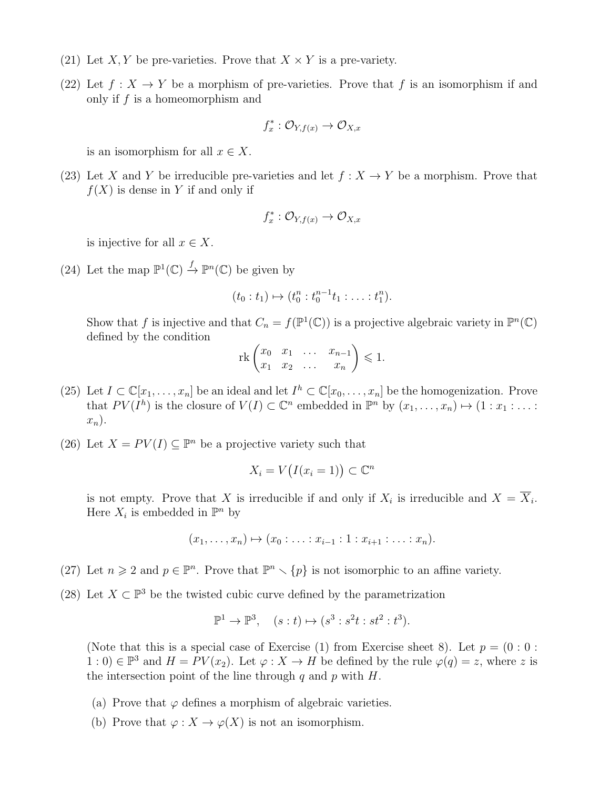- (21) Let X, Y be pre-varieties. Prove that  $X \times Y$  is a pre-variety.
- (22) Let  $f: X \to Y$  be a morphism of pre-varieties. Prove that f is an isomorphism if and only if  $f$  is a homeomorphism and

$$
f_x^* : \mathcal{O}_{Y, f(x)} \to \mathcal{O}_{X, x}
$$

is an isomorphism for all  $x \in X$ .

(23) Let X and Y be irreducible pre-varieties and let  $f : X \to Y$  be a morphism. Prove that  $f(X)$  is dense in Y if and only if

$$
f_x^* : \mathcal{O}_{Y, f(x)} \to \mathcal{O}_{X, x}
$$

is injective for all  $x \in X$ .

(24) Let the map  $\mathbb{P}^1(\mathbb{C}) \stackrel{f}{\to} \mathbb{P}^n(\mathbb{C})$  be given by

$$
(t_0: t_1) \mapsto (t_0^n: t_0^{n-1}t_1: \ldots: t_1^n).
$$

Show that f is injective and that  $C_n = f(\mathbb{P}^1(\mathbb{C}))$  is a projective algebraic variety in  $\mathbb{P}^n(\mathbb{C})$ defined by the condition

$$
\operatorname{rk}\begin{pmatrix} x_0 & x_1 & \dots & x_{n-1} \\ x_1 & x_2 & \dots & x_n \end{pmatrix} \leq 1.
$$

- (25) Let  $I \subset \mathbb{C}[x_1,\ldots,x_n]$  be an ideal and let  $I^h \subset \mathbb{C}[x_0,\ldots,x_n]$  be the homogenization. Prove that  $PV(I^h)$  is the closure of  $V(I) \subset \mathbb{C}^n$  embedded in  $\mathbb{P}^n$  by  $(x_1, \ldots, x_n) \mapsto (1 : x_1 : \ldots :$  $x_n$ ).
- (26) Let  $X = PV(I) \subseteq \mathbb{P}^n$  be a projective variety such that

$$
X_i = V(I(x_i = 1)) \subset \mathbb{C}^n
$$

is not empty. Prove that X is irreducible if and only if  $X_i$  is irreducible and  $X = \overline{X_i}$ . Here  $X_i$  is embedded in  $\mathbb{P}^n$  by

$$
(x_1, \ldots, x_n) \mapsto (x_0 : \ldots : x_{i-1} : 1 : x_{i+1} : \ldots : x_n).
$$

- (27) Let  $n \geq 2$  and  $p \in \mathbb{P}^n$ . Prove that  $\mathbb{P}^n \setminus \{p\}$  is not isomorphic to an affine variety.
- (28) Let  $X \subset \mathbb{P}^3$  be the twisted cubic curve defined by the parametrization

$$
\mathbb{P}^1 \to \mathbb{P}^3, \quad (s:t) \mapsto (s^3:s^2t:st^2:t^3).
$$

(Note that this is a special case of Exercise (1) from Exercise sheet 8). Let  $p = (0:0:$  $(1:0) \in \mathbb{P}^3$  and  $H = PV(x_2)$ . Let  $\varphi: X \to H$  be defined by the rule  $\varphi(q) = z$ , where z is the intersection point of the line through  $q$  and  $p$  with  $H$ .

- (a) Prove that  $\varphi$  defines a morphism of algebraic varieties.
- (b) Prove that  $\varphi: X \to \varphi(X)$  is not an isomorphism.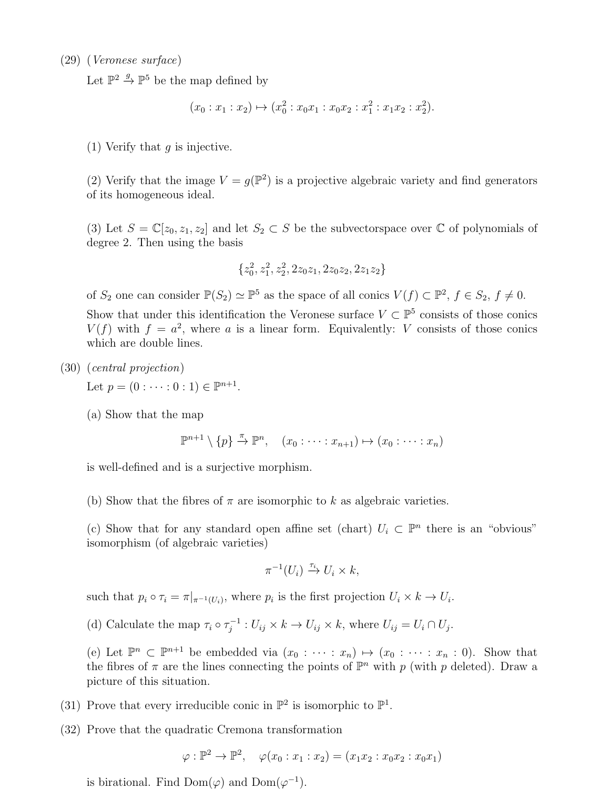## (29) (Veronese surface)

Let  $\mathbb{P}^2 \stackrel{g}{\rightarrow} \mathbb{P}^5$  be the map defined by

$$
(x_0:x_1:x_2)\mapsto (x_0^2:x_0x_1:x_0x_2:x_1^2:x_1x_2:x_2^2).
$$

(1) Verify that  $q$  is injective.

(2) Verify that the image  $V = g(\mathbb{P}^2)$  is a projective algebraic variety and find generators of its homogeneous ideal.

(3) Let  $S = \mathbb{C}[z_0, z_1, z_2]$  and let  $S_2 \subset S$  be the subvectorspace over  $\mathbb C$  of polynomials of degree 2. Then using the basis

$$
\{z_0^2, z_1^2, z_2^2, 2z_0z_1, 2z_0z_2, 2z_1z_2\}
$$

of  $S_2$  one can consider  $\mathbb{P}(S_2) \simeq \mathbb{P}^5$  as the space of all conics  $V(f) \subset \mathbb{P}^2$ ,  $f \in S_2$ ,  $f \neq 0$ . Show that under this identification the Veronese surface  $V \subset \mathbb{P}^5$  consists of those conics  $V(f)$  with  $f = a^2$ , where a is a linear form. Equivalently: V consists of those conics

(30) (central projection)

Let  $p = (0 : \dots : 0 : 1) \in \mathbb{P}^{n+1}$ .

(a) Show that the map

which are double lines.

 $\mathbb{P}^{n+1} \setminus \{p\} \stackrel{\pi}{\rightarrow} \mathbb{P}^n$ ,  $(x_0 : \cdots : x_{n+1}) \mapsto (x_0 : \cdots : x_n)$ 

is well-defined and is a surjective morphism.

(b) Show that the fibres of  $\pi$  are isomorphic to k as algebraic varieties.

(c) Show that for any standard open affine set (chart)  $U_i \subset \mathbb{P}^n$  there is an "obvious" isomorphism (of algebraic varieties)

$$
\pi^{-1}(U_i) \xrightarrow{\tau_i} U_i \times k,
$$

such that  $p_i \circ \tau_i = \pi|_{\pi^{-1}(U_i)}$ , where  $p_i$  is the first projection  $U_i \times k \to U_i$ .

(d) Calculate the map  $\tau_i \circ \tau_i^{-1}$  $U_{ij}^{-1}: U_{ij} \times k \to U_{ij} \times k$ , where  $U_{ij} = U_i \cap U_j$ .

(e) Let  $\mathbb{P}^n \subset \mathbb{P}^{n+1}$  be embedded via  $(x_0 : \cdots : x_n) \mapsto (x_0 : \cdots : x_n : 0)$ . Show that the fibres of  $\pi$  are the lines connecting the points of  $\mathbb{P}^n$  with p (with p deleted). Draw a picture of this situation.

- (31) Prove that every irreducible conic in  $\mathbb{P}^2$  is isomorphic to  $\mathbb{P}^1$ .
- (32) Prove that the quadratic Cremona transformation

$$
\varphi : \mathbb{P}^2 \to \mathbb{P}^2
$$
,  $\varphi(x_0 : x_1 : x_2) = (x_1 x_2 : x_0 x_2 : x_0 x_1)$ 

is birational. Find Dom $(\varphi)$  and Dom $(\varphi^{-1})$ .